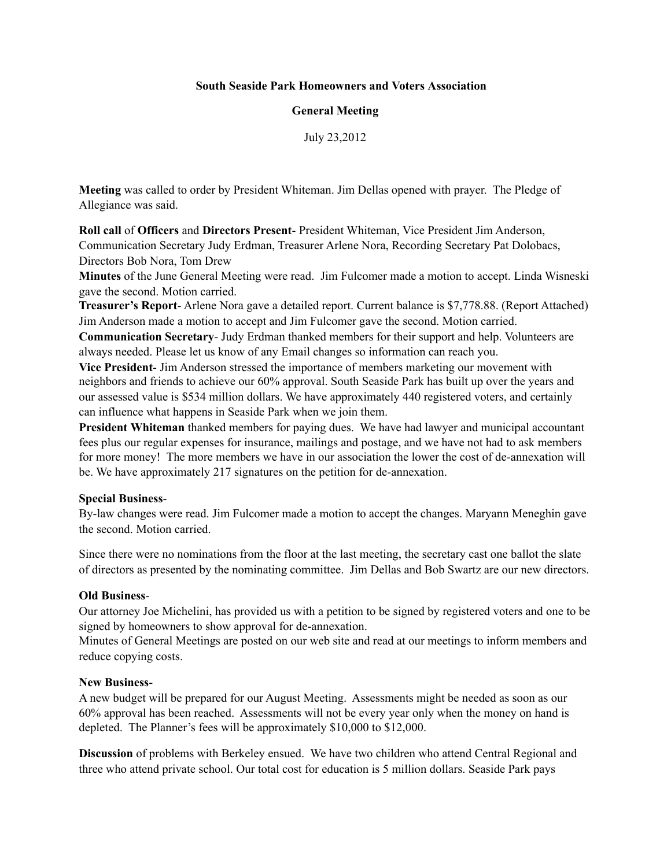# **South Seaside Park Homeowners and Voters Association**

# **General Meeting**

July 23,2012

**Meeting** was called to order by President Whiteman. Jim Dellas opened with prayer. The Pledge of Allegiance was said.

**Roll call** of **Officers** and **Directors Present**- President Whiteman, Vice President Jim Anderson, Communication Secretary Judy Erdman, Treasurer Arlene Nora, Recording Secretary Pat Dolobacs, Directors Bob Nora, Tom Drew

**Minutes** of the June General Meeting were read. Jim Fulcomer made a motion to accept. Linda Wisneski gave the second. Motion carried.

**Treasurer's Report**- Arlene Nora gave a detailed report. Current balance is \$7,778.88. (Report Attached) Jim Anderson made a motion to accept and Jim Fulcomer gave the second. Motion carried.

**Communication Secretary**- Judy Erdman thanked members for their support and help. Volunteers are always needed. Please let us know of any Email changes so information can reach you.

**Vice President**- Jim Anderson stressed the importance of members marketing our movement with neighbors and friends to achieve our 60% approval. South Seaside Park has built up over the years and our assessed value is \$534 million dollars. We have approximately 440 registered voters, and certainly can influence what happens in Seaside Park when we join them.

**President Whiteman** thanked members for paying dues. We have had lawyer and municipal accountant fees plus our regular expenses for insurance, mailings and postage, and we have not had to ask members for more money! The more members we have in our association the lower the cost of de-annexation will be. We have approximately 217 signatures on the petition for de-annexation.

#### **Special Business**-

By-law changes were read. Jim Fulcomer made a motion to accept the changes. Maryann Meneghin gave the second. Motion carried.

Since there were no nominations from the floor at the last meeting, the secretary cast one ballot the slate of directors as presented by the nominating committee. Jim Dellas and Bob Swartz are our new directors.

### **Old Business**-

Our attorney Joe Michelini, has provided us with a petition to be signed by registered voters and one to be signed by homeowners to show approval for de-annexation.

Minutes of General Meetings are posted on our web site and read at our meetings to inform members and reduce copying costs.

#### **New Business**-

A new budget will be prepared for our August Meeting. Assessments might be needed as soon as our 60% approval has been reached. Assessments will not be every year only when the money on hand is depleted. The Planner's fees will be approximately \$10,000 to \$12,000.

**Discussion** of problems with Berkeley ensued. We have two children who attend Central Regional and three who attend private school. Our total cost for education is 5 million dollars. Seaside Park pays